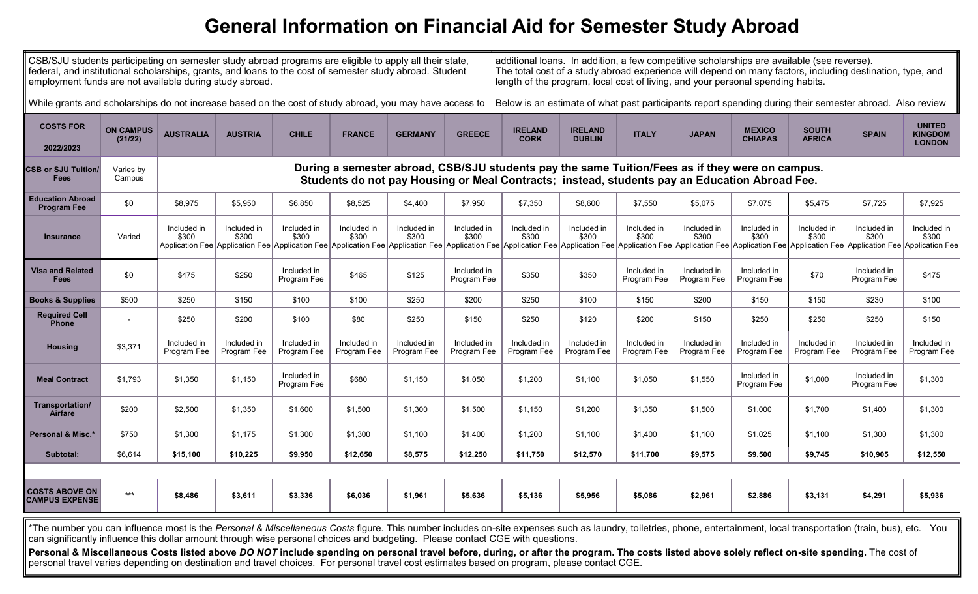## **General Information on Financial Aid for Semester Study Abroad**

CSB/SJU students participating on semester study abroad programs are eligible to apply all their state, federal, and institutional scholarships, grants, and loans to the cost of semester study abroad. Student employment funds are not available during study abroad.

additional loans. In addition, a few competitive scholarships are available (see reverse). The total cost of a study abroad experience will depend on many factors, including destination, type, and length of the program, local cost of living, and your personal spending habits.

While grants and scholarships do not increase based on the cost of study abroad, you may have access to

Below is an estimate of what past participants report spending during their semester abroad. Also review

| <b>COSTS FOR</b><br>2022/2023                                                                                                                                                                                    | <b>ON CAMPUS</b><br>(21/22) | <b>AUSTRALIA</b>                                                                                                                                                                                 | <b>AUSTRIA</b>             | <b>CHILE</b>               | <b>FRANCE</b>              | <b>GERMANY</b>             | <b>GREECE</b>              | <b>IRELAND</b><br><b>CORK</b> | <b>IRELAND</b><br><b>DUBLIN</b>                                                                                                                                                                                                                        | <b>ITALY</b>               | <b>JAPAN</b>               | <b>MEXICO</b><br><b>CHIAPAS</b> | <b>SOUTH</b><br><b>AFRICA</b> | <b>SPAIN</b>               | <b>UNITED</b><br><b>KINGDOM</b><br><b>LONDON</b> |  |
|------------------------------------------------------------------------------------------------------------------------------------------------------------------------------------------------------------------|-----------------------------|--------------------------------------------------------------------------------------------------------------------------------------------------------------------------------------------------|----------------------------|----------------------------|----------------------------|----------------------------|----------------------------|-------------------------------|--------------------------------------------------------------------------------------------------------------------------------------------------------------------------------------------------------------------------------------------------------|----------------------------|----------------------------|---------------------------------|-------------------------------|----------------------------|--------------------------------------------------|--|
| <b>CSB or SJU Tuition/</b><br><b>Fees</b>                                                                                                                                                                        | Varies by<br>Campus         | During a semester abroad, CSB/SJU students pay the same Tuition/Fees as if they were on campus.<br>Students do not pay Housing or Meal Contracts; instead, students pay an Education Abroad Fee. |                            |                            |                            |                            |                            |                               |                                                                                                                                                                                                                                                        |                            |                            |                                 |                               |                            |                                                  |  |
| <b>Education Abroad</b><br><b>Program Fee</b>                                                                                                                                                                    | \$0                         | \$8,975                                                                                                                                                                                          | \$5,950                    | \$6,850                    | \$8,525                    | \$4,400                    | \$7,950                    | \$7,350                       | \$8,600                                                                                                                                                                                                                                                | \$7,550                    | \$5,075                    | \$7,075                         | \$5,475                       | \$7,725                    | \$7,925                                          |  |
| <b>Insurance</b>                                                                                                                                                                                                 | Varied                      | Included in<br>\$300                                                                                                                                                                             | Included in<br>\$300       | Included in<br>\$300       | Included in<br>\$300       | Included in<br>\$300       | Included in<br>\$300       | Included in<br>\$300          | Included in<br>\$300<br>Application Fee Application Fee Application Fee Application Fee Application Fee Application Fee Application Fee Application Fee Application Fee Application Fee Application Fee Application Fee Application Fee Application Fe | Included in<br>\$300       | Included in<br>\$300       | Included in<br>\$300            | Included in<br>\$300          | Included in<br>\$300       | Included in<br>\$300                             |  |
| <b>Visa and Related</b><br><b>Fees</b>                                                                                                                                                                           | \$0                         | \$475                                                                                                                                                                                            | \$250                      | Included in<br>Program Fee | \$465                      | \$125                      | Included in<br>Program Fee | \$350                         | \$350                                                                                                                                                                                                                                                  | Included in<br>Program Fee | Included in<br>Program Fee | Included in<br>Program Fee      | \$70                          | Included in<br>Program Fee | \$475                                            |  |
| <b>Books &amp; Supplies</b>                                                                                                                                                                                      | \$500                       | \$250                                                                                                                                                                                            | \$150                      | \$100                      | \$100                      | \$250                      | \$200                      | \$250                         | \$100                                                                                                                                                                                                                                                  | \$150                      | \$200                      | \$150                           | \$150                         | \$230                      | \$100                                            |  |
| <b>Required Cell</b><br><b>Phone</b>                                                                                                                                                                             |                             | \$250                                                                                                                                                                                            | \$200                      | \$100                      | \$80                       | \$250                      | \$150                      | \$250                         | \$120                                                                                                                                                                                                                                                  | \$200                      | \$150                      | \$250                           | \$250                         | \$250                      | \$150                                            |  |
| <b>Housing</b>                                                                                                                                                                                                   | \$3,371                     | Included in<br>Program Fee                                                                                                                                                                       | Included in<br>Program Fee | Included in<br>Program Fee | Included in<br>Program Fee | Included in<br>Program Fee | Included in<br>Program Fee | Included in<br>Program Fee    | Included in<br>Program Fee                                                                                                                                                                                                                             | Included in<br>Program Fee | Included in<br>Program Fee | Included in<br>Program Fee      | Included in<br>Program Fee    | Included in<br>Program Fee | Included in<br>Program Fee                       |  |
| <b>Meal Contract</b>                                                                                                                                                                                             | \$1,793                     | \$1,350                                                                                                                                                                                          | \$1,150                    | Included in<br>Program Fee | \$680                      | \$1,150                    | \$1.050                    | \$1,200                       | \$1,100                                                                                                                                                                                                                                                | \$1,050                    | \$1,550                    | Included in<br>Program Fee      | \$1,000                       | Included in<br>Program Fee | \$1,300                                          |  |
| Transportation/<br>Airfare                                                                                                                                                                                       | \$200                       | \$2,500                                                                                                                                                                                          | \$1,350                    | \$1,600                    | \$1,500                    | \$1,300                    | \$1,500                    | \$1,150                       | \$1,200                                                                                                                                                                                                                                                | \$1,350                    | \$1,500                    | \$1,000                         | \$1,700                       | \$1,400                    | \$1,300                                          |  |
| Personal & Misc.*                                                                                                                                                                                                | \$750                       | \$1,300                                                                                                                                                                                          | \$1,175                    | \$1,300                    | \$1,300                    | \$1,100                    | \$1,400                    | \$1,200                       | \$1,100                                                                                                                                                                                                                                                | \$1,400                    | \$1,100                    | \$1,025                         | \$1,100                       | \$1,300                    | \$1,300                                          |  |
| Subtotal:                                                                                                                                                                                                        | \$6,614                     | \$15,100                                                                                                                                                                                         | \$10,225                   | \$9,950                    | \$12,650                   | \$8,575                    | \$12,250                   | \$11,750                      | \$12,570                                                                                                                                                                                                                                               | \$11,700                   | \$9,575                    | \$9,500                         | \$9,745                       | \$10,905                   | \$12,550                                         |  |
|                                                                                                                                                                                                                  |                             |                                                                                                                                                                                                  |                            |                            |                            |                            |                            |                               |                                                                                                                                                                                                                                                        |                            |                            |                                 |                               |                            |                                                  |  |
| <b>COSTS ABOVE ON</b><br><b>CAMPUS EXPENSE</b>                                                                                                                                                                   | $***$                       | \$8,486                                                                                                                                                                                          | \$3,611                    | \$3,336                    | \$6,036                    | \$1,961                    | \$5,636                    | \$5,136                       | \$5,956                                                                                                                                                                                                                                                | \$5,086                    | \$2,961                    | \$2,886                         | \$3,131                       | \$4,291                    | \$5,936                                          |  |
| The number you can influence most is the Personal & Miscellaneous Costs figure. This number includes on-site expenses such as laundry, toiletries, phone, entertainment, local transportation (train, bus), etc. |                             |                                                                                                                                                                                                  |                            |                            |                            |                            |                            |                               |                                                                                                                                                                                                                                                        |                            |                            |                                 |                               |                            | You                                              |  |

can significantly influence this dollar amount through wise personal choices and budgeting. Please contact CGE with questions.

Personal & Miscellaneous Costs listed above DO NOT include spending on personal travel before, during, or after the program. The costs listed above solely reflect on-site spending. The cost of personal travel varies depending on destination and travel choices. For personal travel cost estimates based on program, please contact CGE.